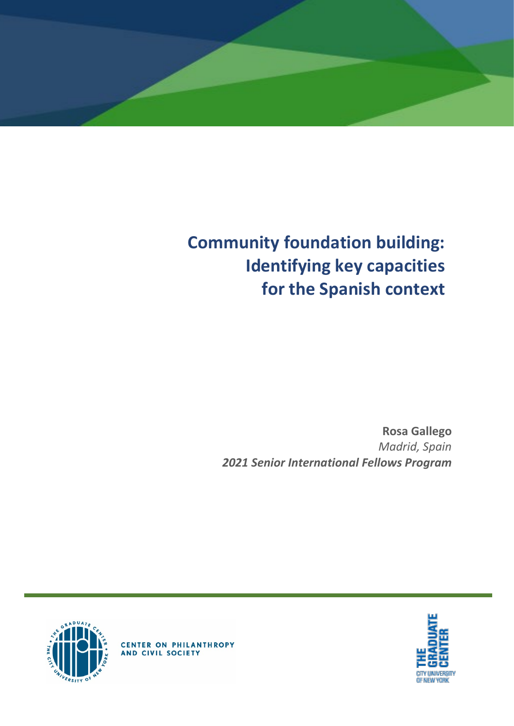

# **Community foundation building: Identifying key capacities for the Spanish context**

**Rosa Gallego** *Madrid, Spain 2021 Senior International Fellows Program*





**CENTER ON PHILANTHROPY**<br>AND CIVIL SOCIETY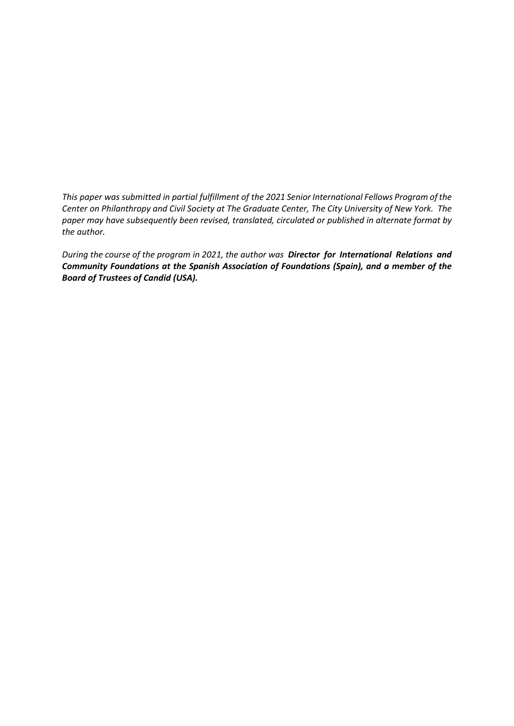*This paper was submitted in partial fulfillment of the 2021 Senior International Fellows Program of the Center on Philanthropy and Civil Society at The Graduate Center, The City University of New York. The paper may have subsequently been revised, translated, circulated or published in alternate format by the author.*

*During the course of the program in 2021, the author was Director for International Relations and Community Foundations at the Spanish Association of Foundations (Spain), and a member of the Board of Trustees of Candid (USA).*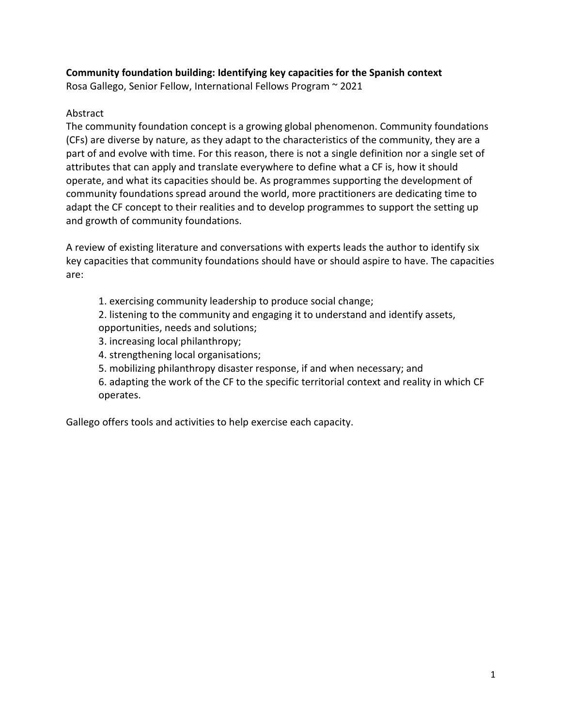## **Community foundation building: Identifying key capacities for the Spanish context**

Rosa Gallego, Senior Fellow, International Fellows Program ~ 2021

#### Abstract

The community foundation concept is a growing global phenomenon. Community foundations (CFs) are diverse by nature, as they adapt to the characteristics of the community, they are a part of and evolve with time. For this reason, there is not a single definition nor a single set of attributes that can apply and translate everywhere to define what a CF is, how it should operate, and what its capacities should be. As programmes supporting the development of community foundations spread around the world, more practitioners are dedicating time to adapt the CF concept to their realities and to develop programmes to support the setting up and growth of community foundations.

A review of existing literature and conversations with experts leads the author to identify six key capacities that community foundations should have or should aspire to have. The capacities are:

1. exercising community leadership to produce social change;

2. listening to the community and engaging it to understand and identify assets, opportunities, needs and solutions;

- 3. increasing local philanthropy;
- 4. strengthening local organisations;
- 5. mobilizing philanthropy disaster response, if and when necessary; and
- 6. adapting the work of the CF to the specific territorial context and reality in which CF operates.

Gallego offers tools and activities to help exercise each capacity.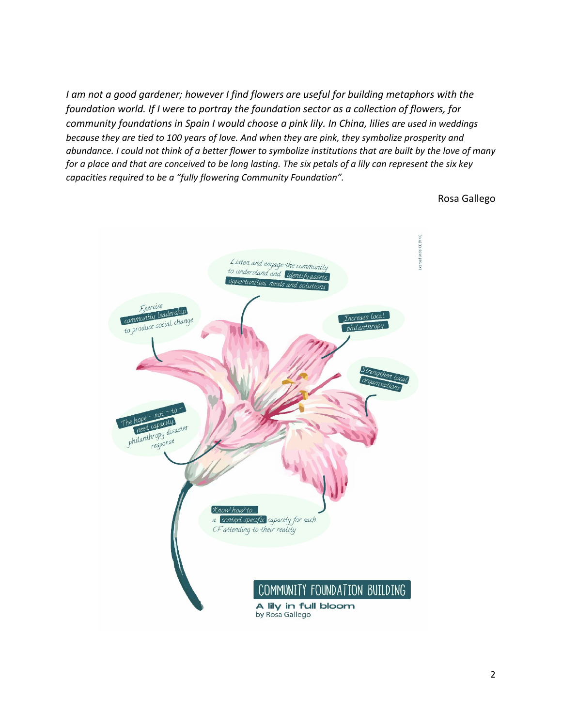*I am not a good gardener; however I find flowers are useful for building metaphors with the foundation world. If I were to portray the foundation sector as a collection of flowers, for community foundations in Spain I would choose a pink lily. In China, lilies are used in weddings because they are tied to 100 years of love. And when they are pink, they symbolize prosperity and abundance. I could not think of a better flower to symbolize institutions that are built by the love of many for a place and that are conceived to be long lasting. The six petals of a lily can represent the six key capacities required to be a "fully flowering Community Foundation".*

Rosa Gallego

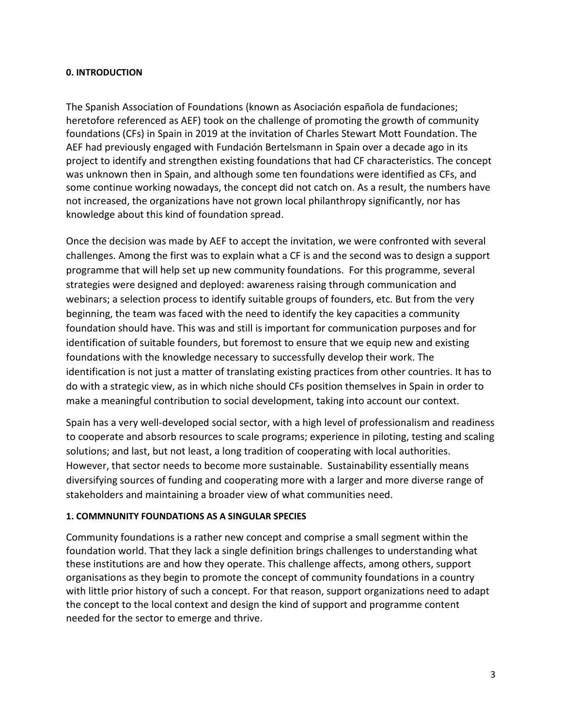#### **0. INTRODUCTION**

The Spanish Association of Foundations (known as Asociación española de fundaciones; heretofore referenced as AEF) took on the challenge of promoting the growth of community foundations (CFs) in Spain in 2019 at the invitation of Charles Stewart Mott Foundation. The AEF had previously engaged with Fundación Bertelsmann in Spain over a decade ago in its project to identify and strengthen existing foundations that had CF characteristics. The concept was unknown then in Spain, and although some ten foundations were identified as CFs, and some continue working nowadays, the concept did not catch on. As a result, the numbers have not increased, the organizations have not grown local philanthropy significantly, nor has knowledge about this kind of foundation spread.

Once the decision was made by AEF to accept the invitation, we were confronted with several challenges. Among the first was to explain what a CF is and the second was to design a support programme that will help set up new community foundations. For this programme, several strategies were designed and deployed: awareness raising through communication and webinars; a selection process to identify suitable groups of founders, etc. But from the very beginning, the team was faced with the need to identify the key capacities a community foundation should have. This was and still is important for communication purposes and for identification of suitable founders, but foremost to ensure that we equip new and existing foundations with the knowledge necessary to successfully develop their work. The identification is not just a matter of translating existing practices from other countries. It has to do with a strategic view, as in which niche should CFs position themselves in Spain in order to make a meaningful contribution to social development, taking into account our context.

Spain has a very well-developed social sector, with a high level of professionalism and readiness to cooperate and absorb resources to scale programs; experience in piloting, testing and scaling solutions; and last, but not least, a long tradition of cooperating with local authorities. However, that sector needs to become more sustainable. Sustainability essentially means diversifying sources of funding and cooperating more with a larger and more diverse range of stakeholders and maintaining a broader view of what communities need.

#### **1. COMMNUNITY FOUNDATIONS AS A SINGULAR SPECIES**

Community foundations is a rather new concept and comprise a small segment within the foundation world. That they lack a single definition brings challenges to understanding what these institutions are and how they operate. This challenge affects, among others, support organisations as they begin to promote the concept of community foundations in a country with little prior history of such a concept. For that reason, support organizations need to adapt the concept to the local context and design the kind of support and programme content needed for the sector to emerge and thrive.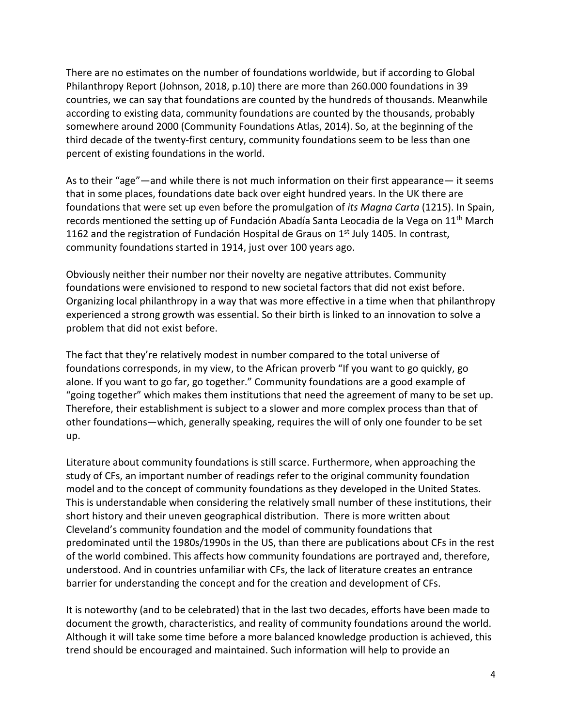There are no estimates on the number of foundations worldwide, but if according to Global Philanthropy Report (Johnson, 2018, p.10) there are more than 260.000 foundations in 39 countries, we can say that foundations are counted by the hundreds of thousands. Meanwhile according to existing data, community foundations are counted by the thousands, probably somewhere around 2000 (Community Foundations Atlas, 2014). So, at the beginning of the third decade of the twenty-first century, community foundations seem to be less than one percent of existing foundations in the world.

As to their "age"—and while there is not much information on their first appearance— it seems that in some places, foundations date back over eight hundred years. In the UK there are foundations that were set up even before the promulgation of *its Magna Carta* (1215). In Spain, records mentioned the setting up of Fundación Abadía Santa Leocadia de la Vega on 11<sup>th</sup> March 1162 and the registration of Fundación Hospital de Graus on  $1<sup>st</sup>$  July 1405. In contrast, community foundations started in 1914, just over 100 years ago.

Obviously neither their number nor their novelty are negative attributes. Community foundations were envisioned to respond to new societal factors that did not exist before. Organizing local philanthropy in a way that was more effective in a time when that philanthropy experienced a strong growth was essential. So their birth is linked to an innovation to solve a problem that did not exist before.

The fact that they're relatively modest in number compared to the total universe of foundations corresponds, in my view, to the African proverb "If you want to go quickly, go alone. If you want to go far, go together." Community foundations are a good example of "going together" which makes them institutions that need the agreement of many to be set up. Therefore, their establishment is subject to a slower and more complex process than that of other foundations—which, generally speaking, requires the will of only one founder to be set up.

Literature about community foundations is still scarce. Furthermore, when approaching the study of CFs, an important number of readings refer to the original community foundation model and to the concept of community foundations as they developed in the United States. This is understandable when considering the relatively small number of these institutions, their short history and their uneven geographical distribution. There is more written about Cleveland's community foundation and the model of community foundations that predominated until the 1980s/1990s in the US, than there are publications about CFs in the rest of the world combined. This affects how community foundations are portrayed and, therefore, understood. And in countries unfamiliar with CFs, the lack of literature creates an entrance barrier for understanding the concept and for the creation and development of CFs.

It is noteworthy (and to be celebrated) that in the last two decades, efforts have been made to document the growth, characteristics, and reality of community foundations around the world. Although it will take some time before a more balanced knowledge production is achieved, this trend should be encouraged and maintained. Such information will help to provide an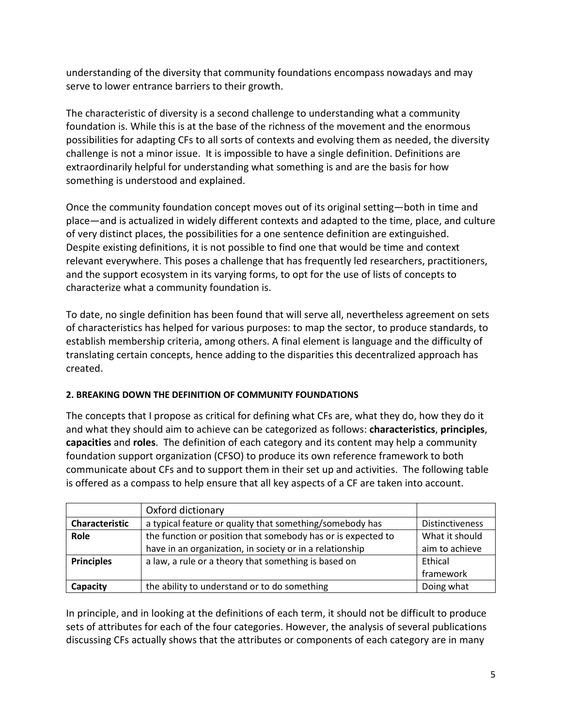understanding of the diversity that community foundations encompass nowadays and may serve to lower entrance barriers to their growth.

The characteristic of diversity is a second challenge to understanding what a community foundation is. While this is at the base of the richness of the movement and the enormous possibilities for adapting CFs to all sorts of contexts and evolving them as needed, the diversity challenge is not a minor issue. It is impossible to have a single definition. Definitions are extraordinarily helpful for understanding what something is and are the basis for how something is understood and explained.

Once the community foundation concept moves out of its original setting—both in time and place—and is actualized in widely different contexts and adapted to the time, place, and culture of very distinct places, the possibilities for a one sentence definition are extinguished. Despite existing definitions, it is not possible to find one that would be time and context relevant everywhere. This poses a challenge that has frequently led researchers, practitioners, and the support ecosystem in its varying forms, to opt for the use of lists of concepts to characterize what a community foundation is.

To date, no single definition has been found that will serve all, nevertheless agreement on sets of characteristics has helped for various purposes: to map the sector, to produce standards, to establish membership criteria, among others. A final element is language and the difficulty of translating certain concepts, hence adding to the disparities this decentralized approach has created.

## **2. BREAKING DOWN THE DEFINITION OF COMMUNITY FOUNDATIONS**

The concepts that I propose as critical for defining what CFs are, what they do, how they do it and what they should aim to achieve can be categorized as follows: **characteristics**, **principles**, **capacities** and **roles**. The definition of each category and its content may help a community foundation support organization (CFSO) to produce its own reference framework to both communicate about CFs and to support them in their set up and activities. The following table is offered as a compass to help ensure that all key aspects of a CF are taken into account.

|                   | Oxford dictionary                                            |                        |
|-------------------|--------------------------------------------------------------|------------------------|
| Characteristic    | a typical feature or quality that something/somebody has     | <b>Distinctiveness</b> |
| Role              | the function or position that somebody has or is expected to | What it should         |
|                   | have in an organization, in society or in a relationship     | aim to achieve         |
| <b>Principles</b> | a law, a rule or a theory that something is based on         | Ethical                |
|                   |                                                              | framework              |
| Capacity          | the ability to understand or to do something                 | Doing what             |

In principle, and in looking at the definitions of each term, it should not be difficult to produce sets of attributes for each of the four categories. However, the analysis of several publications discussing CFs actually shows that the attributes or components of each category are in many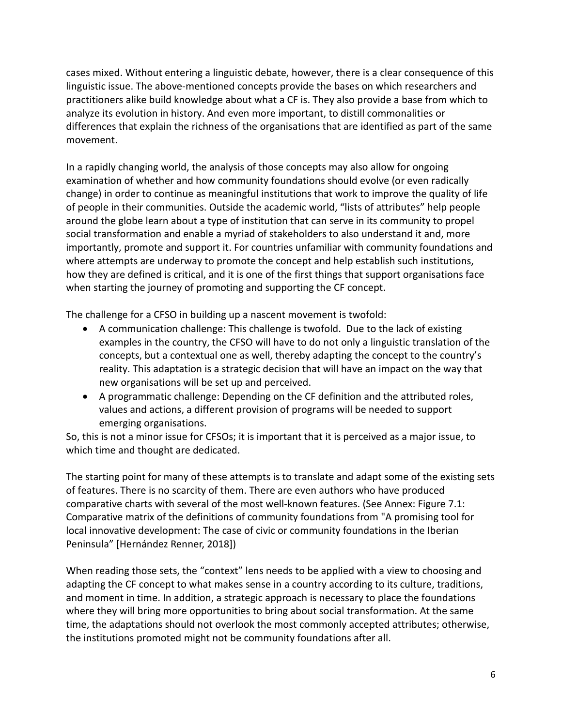cases mixed. Without entering a linguistic debate, however, there is a clear consequence of this linguistic issue. The above-mentioned concepts provide the bases on which researchers and practitioners alike build knowledge about what a CF is. They also provide a base from which to analyze its evolution in history. And even more important, to distill commonalities or differences that explain the richness of the organisations that are identified as part of the same movement.

In a rapidly changing world, the analysis of those concepts may also allow for ongoing examination of whether and how community foundations should evolve (or even radically change) in order to continue as meaningful institutions that work to improve the quality of life of people in their communities. Outside the academic world, "lists of attributes" help people around the globe learn about a type of institution that can serve in its community to propel social transformation and enable a myriad of stakeholders to also understand it and, more importantly, promote and support it. For countries unfamiliar with community foundations and where attempts are underway to promote the concept and help establish such institutions, how they are defined is critical, and it is one of the first things that support organisations face when starting the journey of promoting and supporting the CF concept.

The challenge for a CFSO in building up a nascent movement is twofold:

- A communication challenge: This challenge is twofold. Due to the lack of existing examples in the country, the CFSO will have to do not only a linguistic translation of the concepts, but a contextual one as well, thereby adapting the concept to the country's reality. This adaptation is a strategic decision that will have an impact on the way that new organisations will be set up and perceived.
- A programmatic challenge: Depending on the CF definition and the attributed roles, values and actions, a different provision of programs will be needed to support emerging organisations.

So, this is not a minor issue for CFSOs; it is important that it is perceived as a major issue, to which time and thought are dedicated.

The starting point for many of these attempts is to translate and adapt some of the existing sets of features. There is no scarcity of them. There are even authors who have produced comparative charts with several of the most well-known features. (See Annex: Figure 7.1: Comparative matrix of the definitions of community foundations from "A promising tool for local innovative development: The case of civic or community foundations in the Iberian Peninsula" [Hernández Renner, 2018])

When reading those sets, the "context" lens needs to be applied with a view to choosing and adapting the CF concept to what makes sense in a country according to its culture, traditions, and moment in time. In addition, a strategic approach is necessary to place the foundations where they will bring more opportunities to bring about social transformation. At the same time, the adaptations should not overlook the most commonly accepted attributes; otherwise, the institutions promoted might not be community foundations after all.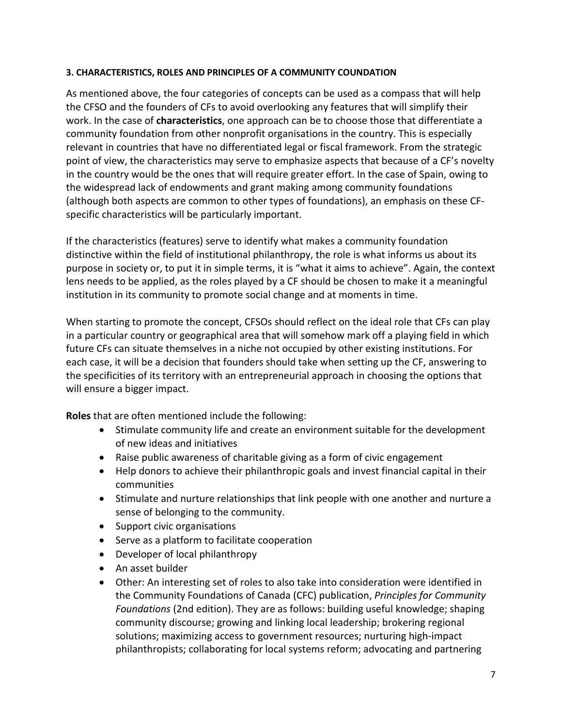#### **3. CHARACTERISTICS, ROLES AND PRINCIPLES OF A COMMUNITY COUNDATION**

As mentioned above, the four categories of concepts can be used as a compass that will help the CFSO and the founders of CFs to avoid overlooking any features that will simplify their work. In the case of **characteristics**, one approach can be to choose those that differentiate a community foundation from other nonprofit organisations in the country. This is especially relevant in countries that have no differentiated legal or fiscal framework. From the strategic point of view, the characteristics may serve to emphasize aspects that because of a CF's novelty in the country would be the ones that will require greater effort. In the case of Spain, owing to the widespread lack of endowments and grant making among community foundations (although both aspects are common to other types of foundations), an emphasis on these CFspecific characteristics will be particularly important.

If the characteristics (features) serve to identify what makes a community foundation distinctive within the field of institutional philanthropy, the role is what informs us about its purpose in society or, to put it in simple terms, it is "what it aims to achieve". Again, the context lens needs to be applied, as the roles played by a CF should be chosen to make it a meaningful institution in its community to promote social change and at moments in time.

When starting to promote the concept, CFSOs should reflect on the ideal role that CFs can play in a particular country or geographical area that will somehow mark off a playing field in which future CFs can situate themselves in a niche not occupied by other existing institutions. For each case, it will be a decision that founders should take when setting up the CF, answering to the specificities of its territory with an entrepreneurial approach in choosing the options that will ensure a bigger impact.

**Roles** that are often mentioned include the following:

- Stimulate community life and create an environment suitable for the development of new ideas and initiatives
- Raise public awareness of charitable giving as a form of civic engagement
- Help donors to achieve their philanthropic goals and invest financial capital in their communities
- Stimulate and nurture relationships that link people with one another and nurture a sense of belonging to the community.
- Support civic organisations
- Serve as a platform to facilitate cooperation
- Developer of local philanthropy
- An asset builder
- Other: An interesting set of roles to also take into consideration were identified in the Community Foundations of Canada (CFC) publication, *Principles for Community Foundations* (2nd edition). They are as follows: building useful knowledge; shaping community discourse; growing and linking local leadership; brokering regional solutions; maximizing access to government resources; nurturing high-impact philanthropists; collaborating for local systems reform; advocating and partnering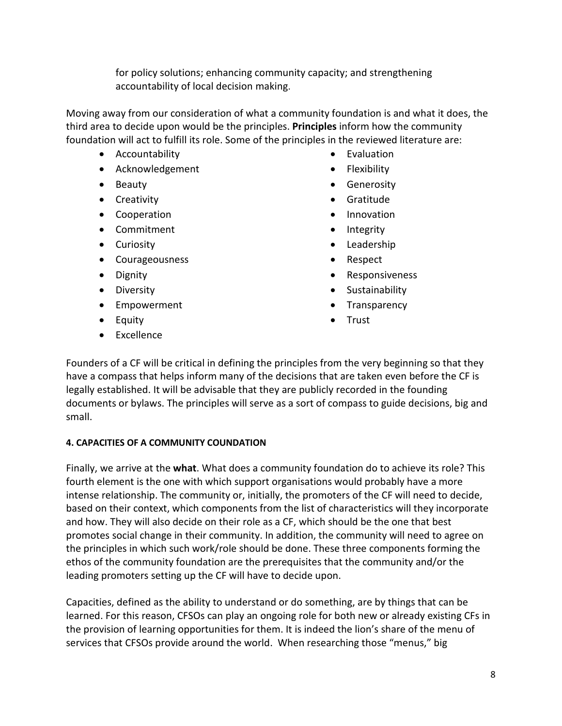for policy solutions; enhancing community capacity; and strengthening accountability of local decision making.

Moving away from our consideration of what a community foundation is and what it does, the third area to decide upon would be the principles. **Principles** inform how the community foundation will act to fulfill its role. Some of the principles in the reviewed literature are:

- Accountability
- Acknowledgement
- Beauty
- Creativity
- Cooperation
- Commitment
- Curiosity
- Courageousness
- Dignity
- Diversity
- Empowerment
- Equity
- Excellence
- Evaluation
- Flexibility
- Generosity
- Gratitude
- Innovation
- Integrity
- Leadership
- Respect
- Responsiveness
- Sustainability
- Transparency
- Trust

Founders of a CF will be critical in defining the principles from the very beginning so that they have a compass that helps inform many of the decisions that are taken even before the CF is legally established. It will be advisable that they are publicly recorded in the founding documents or bylaws. The principles will serve as a sort of compass to guide decisions, big and small.

## **4. CAPACITIES OF A COMMUNITY COUNDATION**

Finally, we arrive at the **what**. What does a community foundation do to achieve its role? This fourth element is the one with which support organisations would probably have a more intense relationship. The community or, initially, the promoters of the CF will need to decide, based on their context, which components from the list of characteristics will they incorporate and how. They will also decide on their role as a CF, which should be the one that best promotes social change in their community. In addition, the community will need to agree on the principles in which such work/role should be done. These three components forming the ethos of the community foundation are the prerequisites that the community and/or the leading promoters setting up the CF will have to decide upon.

Capacities, defined as the ability to understand or do something, are by things that can be learned. For this reason, CFSOs can play an ongoing role for both new or already existing CFs in the provision of learning opportunities for them. It is indeed the lion's share of the menu of services that CFSOs provide around the world. When researching those "menus," big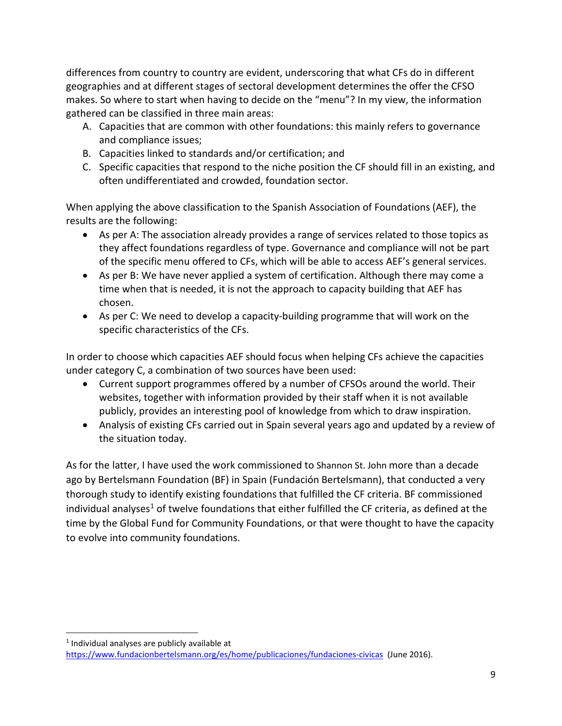differences from country to country are evident, underscoring that what CFs do in different geographies and at different stages of sectoral development determines the offer the CFSO makes. So where to start when having to decide on the "menu"? In my view, the information gathered can be classified in three main areas:

- A. Capacities that are common with other foundations: this mainly refers to governance and compliance issues;
- B. Capacities linked to standards and/or certification; and
- C. Specific capacities that respond to the niche position the CF should fill in an existing, and often undifferentiated and crowded, foundation sector.

When applying the above classification to the Spanish Association of Foundations (AEF), the results are the following:

- As per A: The association already provides a range of services related to those topics as they affect foundations regardless of type. Governance and compliance will not be part of the specific menu offered to CFs, which will be able to access AEF's general services.
- As per B: We have never applied a system of certification. Although there may come a time when that is needed, it is not the approach to capacity building that AEF has chosen.
- As per C: We need to develop a capacity-building programme that will work on the specific characteristics of the CFs.

In order to choose which capacities AEF should focus when helping CFs achieve the capacities under category C, a combination of two sources have been used:

- Current support programmes offered by a number of CFSOs around the world. Their websites, together with information provided by their staff when it is not available publicly, provides an interesting pool of knowledge from which to draw inspiration.
- Analysis of existing CFs carried out in Spain several years ago and updated by a review of the situation today.

As for the latter, I have used the work commissioned to Shannon St. John more than a decade ago by Bertelsmann Foundation (BF) in Spain (Fundación Bertelsmann), that conducted a very thorough study to identify existing foundations that fulfilled the CF criteria. BF commissioned individual analyses<sup>[1](#page-10-0)</sup> of twelve foundations that either fulfilled the CF criteria, as defined at the time by the Global Fund for Community Foundations, or that were thought to have the capacity to evolve into community foundations.

<span id="page-10-0"></span> $1$  Individual analyses are publicly available at <https://www.fundacionbertelsmann.org/es/home/publicaciones/fundaciones-civicas>(June 2016).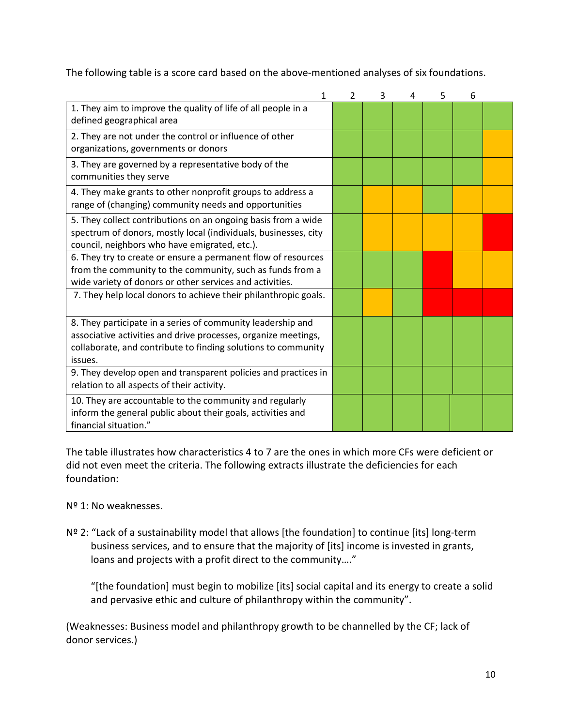The following table is a score card based on the above-mentioned analyses of six foundations.

| 1                                                                                                                                                                                                         | $\mathcal{P}$ | 3 | 4 | 5 | 6 |  |
|-----------------------------------------------------------------------------------------------------------------------------------------------------------------------------------------------------------|---------------|---|---|---|---|--|
| 1. They aim to improve the quality of life of all people in a<br>defined geographical area                                                                                                                |               |   |   |   |   |  |
| 2. They are not under the control or influence of other<br>organizations, governments or donors                                                                                                           |               |   |   |   |   |  |
| 3. They are governed by a representative body of the<br>communities they serve                                                                                                                            |               |   |   |   |   |  |
| 4. They make grants to other nonprofit groups to address a<br>range of (changing) community needs and opportunities                                                                                       |               |   |   |   |   |  |
| 5. They collect contributions on an ongoing basis from a wide<br>spectrum of donors, mostly local (individuals, businesses, city<br>council, neighbors who have emigrated, etc.).                         |               |   |   |   |   |  |
| 6. They try to create or ensure a permanent flow of resources<br>from the community to the community, such as funds from a<br>wide variety of donors or other services and activities.                    |               |   |   |   |   |  |
| 7. They help local donors to achieve their philanthropic goals.                                                                                                                                           |               |   |   |   |   |  |
| 8. They participate in a series of community leadership and<br>associative activities and drive processes, organize meetings,<br>collaborate, and contribute to finding solutions to community<br>issues. |               |   |   |   |   |  |
| 9. They develop open and transparent policies and practices in<br>relation to all aspects of their activity.                                                                                              |               |   |   |   |   |  |
| 10. They are accountable to the community and regularly<br>inform the general public about their goals, activities and<br>financial situation."                                                           |               |   |   |   |   |  |

The table illustrates how characteristics 4 to 7 are the ones in which more CFs were deficient or did not even meet the criteria. The following extracts illustrate the deficiencies for each foundation:

# Nº 1: No weaknesses.

Nº 2: "Lack of a sustainability model that allows [the foundation] to continue [its] long-term business services, and to ensure that the majority of [its] income is invested in grants, loans and projects with a profit direct to the community…."

"[the foundation] must begin to mobilize [its] social capital and its energy to create a solid and pervasive ethic and culture of philanthropy within the community".

(Weaknesses: Business model and philanthropy growth to be channelled by the CF; lack of donor services.)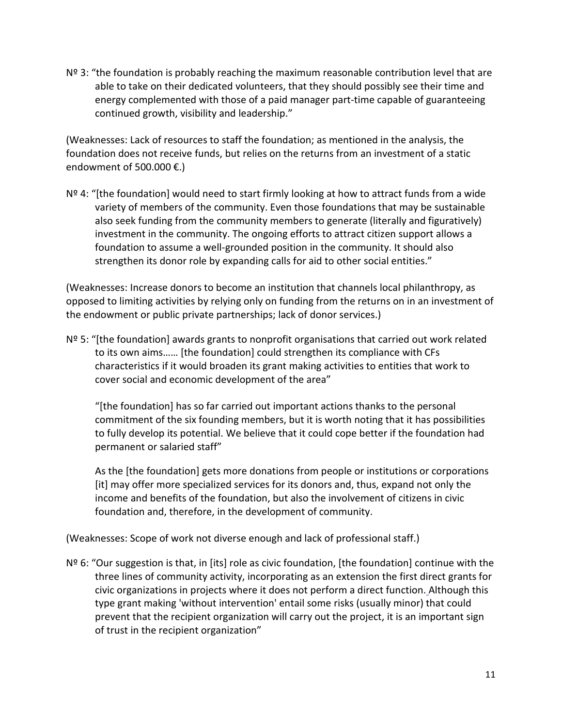$N<sup>2</sup>$  3: "the foundation is probably reaching the maximum reasonable contribution level that are able to take on their dedicated volunteers, that they should possibly see their time and energy complemented with those of a paid manager part-time capable of guaranteeing continued growth, visibility and leadership."

(Weaknesses: Lack of resources to staff the foundation; as mentioned in the analysis, the foundation does not receive funds, but relies on the returns from an investment of a static endowment of 500.000  $\epsilon$ .)

 $N<sup>2</sup>$  4: "[the foundation] would need to start firmly looking at how to attract funds from a wide variety of members of the community. Even those foundations that may be sustainable also seek funding from the community members to generate (literally and figuratively) investment in the community. The ongoing efforts to attract citizen support allows a foundation to assume a well-grounded position in the community. It should also strengthen its donor role by expanding calls for aid to other social entities."

(Weaknesses: Increase donors to become an institution that channels local philanthropy, as opposed to limiting activities by relying only on funding from the returns on in an investment of the endowment or public private partnerships; lack of donor services.)

 $N<sup>2</sup>$  5: "[the foundation] awards grants to nonprofit organisations that carried out work related to its own aims…… [the foundation] could strengthen its compliance with CFs characteristics if it would broaden its grant making activities to entities that work to cover social and economic development of the area"

"[the foundation] has so far carried out important actions thanks to the personal commitment of the six founding members, but it is worth noting that it has possibilities to fully develop its potential. We believe that it could cope better if the foundation had permanent or salaried staff"

As the [the foundation] gets more donations from people or institutions or corporations [it] may offer more specialized services for its donors and, thus, expand not only the income and benefits of the foundation, but also the involvement of citizens in civic foundation and, therefore, in the development of community.

(Weaknesses: Scope of work not diverse enough and lack of professional staff.)

 $N<sup>o</sup>$  6: "Our suggestion is that, in [its] role as civic foundation, [the foundation] continue with the three lines of community activity, incorporating as an extension the first direct grants for civic organizations in projects where it does not perform a direct function. Although this type grant making 'without intervention' entail some risks (usually minor) that could prevent that the recipient organization will carry out the project, it is an important sign of trust in the recipient organization"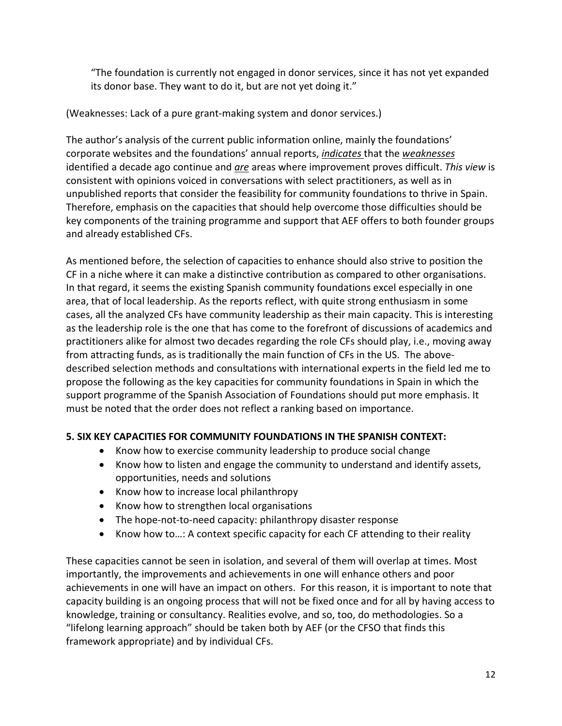"The foundation is currently not engaged in donor services, since it has not yet expanded its donor base. They want to do it, but are not yet doing it."

# (Weaknesses: Lack of a pure grant-making system and donor services.)

The author's analysis of the current public information online, mainly the foundations' corporate websites and the foundations' annual reports, *indicates* that the *weaknesses* identified a decade ago continue and *are* areas where improvement proves difficult. *This view* is consistent with opinions voiced in conversations with select practitioners, as well as in unpublished reports that consider the feasibility for community foundations to thrive in Spain. Therefore, emphasis on the capacities that should help overcome those difficulties should be key components of the training programme and support that AEF offers to both founder groups and already established CFs.

As mentioned before, the selection of capacities to enhance should also strive to position the CF in a niche where it can make a distinctive contribution as compared to other organisations. In that regard, it seems the existing Spanish community foundations excel especially in one area, that of local leadership. As the reports reflect, with quite strong enthusiasm in some cases, all the analyzed CFs have community leadership as their main capacity. This is interesting as the leadership role is the one that has come to the forefront of discussions of academics and practitioners alike for almost two decades regarding the role CFs should play, i.e., moving away from attracting funds, as is traditionally the main function of CFs in the US. The abovedescribed selection methods and consultations with international experts in the field led me to propose the following as the key capacities for community foundations in Spain in which the support programme of the Spanish Association of Foundations should put more emphasis. It must be noted that the order does not reflect a ranking based on importance.

# **5. SIX KEY CAPACITIES FOR COMMUNITY FOUNDATIONS IN THE SPANISH CONTEXT:**

- Know how to exercise community leadership to produce social change
- Know how to listen and engage the community to understand and identify assets, opportunities, needs and solutions
- Know how to increase local philanthropy
- Know how to strengthen local organisations
- The hope-not-to-need capacity: philanthropy disaster response
- Know how to…: A context specific capacity for each CF attending to their reality

These capacities cannot be seen in isolation, and several of them will overlap at times. Most importantly, the improvements and achievements in one will enhance others and poor achievements in one will have an impact on others. For this reason, it is important to note that capacity building is an ongoing process that will not be fixed once and for all by having access to knowledge, training or consultancy. Realities evolve, and so, too, do methodologies. So a "lifelong learning approach" should be taken both by AEF (or the CFSO that finds this framework appropriate) and by individual CFs.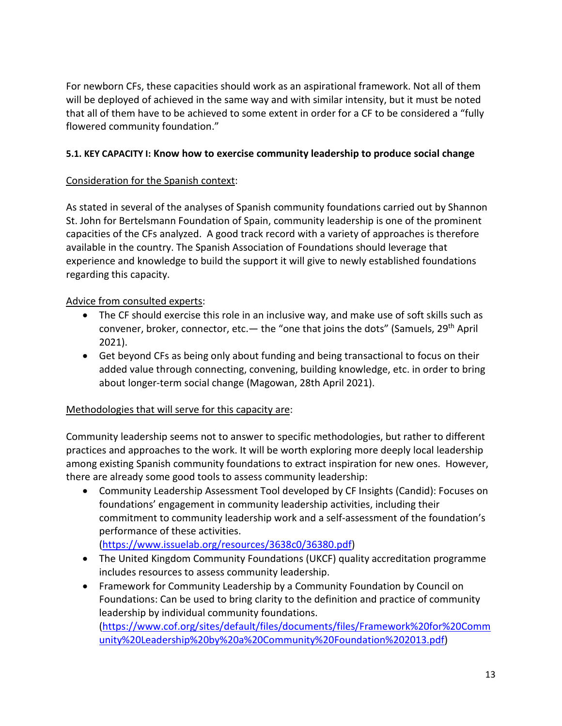For newborn CFs, these capacities should work as an aspirational framework. Not all of them will be deployed of achieved in the same way and with similar intensity, but it must be noted that all of them have to be achieved to some extent in order for a CF to be considered a "fully flowered community foundation."

## **5.1. KEY CAPACITY I: Know how to exercise community leadership to produce social change**

## Consideration for the Spanish context:

As stated in several of the analyses of Spanish community foundations carried out by Shannon St. John for Bertelsmann Foundation of Spain, community leadership is one of the prominent capacities of the CFs analyzed. A good track record with a variety of approaches is therefore available in the country. The Spanish Association of Foundations should leverage that experience and knowledge to build the support it will give to newly established foundations regarding this capacity.

## Advice from consulted experts:

- The CF should exercise this role in an inclusive way, and make use of soft skills such as convener, broker, connector, etc.— the "one that joins the dots" (Samuels,  $29<sup>th</sup>$  April 2021).
- Get beyond CFs as being only about funding and being transactional to focus on their added value through connecting, convening, building knowledge, etc. in order to bring about longer-term social change (Magowan, 28th April 2021).

## Methodologies that will serve for this capacity are:

Community leadership seems not to answer to specific methodologies, but rather to different practices and approaches to the work. It will be worth exploring more deeply local leadership among existing Spanish community foundations to extract inspiration for new ones. However, there are already some good tools to assess community leadership:

- Community Leadership Assessment Tool developed by CF Insights (Candid): Focuses on foundations' engagement in community leadership activities, including their commitment to community leadership work and a self-assessment of the foundation's performance of these activities. [\(https://www.issuelab.org/resources/3638c0/36380.pdf\)](https://www.issuelab.org/resources/3638c0/36380.pdf)
- The United Kingdom Community Foundations (UKCF) quality accreditation programme includes resources to assess community leadership.
- Framework for Community Leadership by a Community Foundation by Council on Foundations: Can be used to bring clarity to the definition and practice of community leadership by individual community foundations. [\(https://www.cof.org/sites/default/files/documents/files/Framework%20for%20Comm](https://www.cof.org/sites/default/files/documents/files/Framework%20for%20Community%20Leadership%20by%20a%20Community%20Foundation%202013.pdf) [unity%20Leadership%20by%20a%20Community%20Foundation%202013.pdf\)](https://www.cof.org/sites/default/files/documents/files/Framework%20for%20Community%20Leadership%20by%20a%20Community%20Foundation%202013.pdf)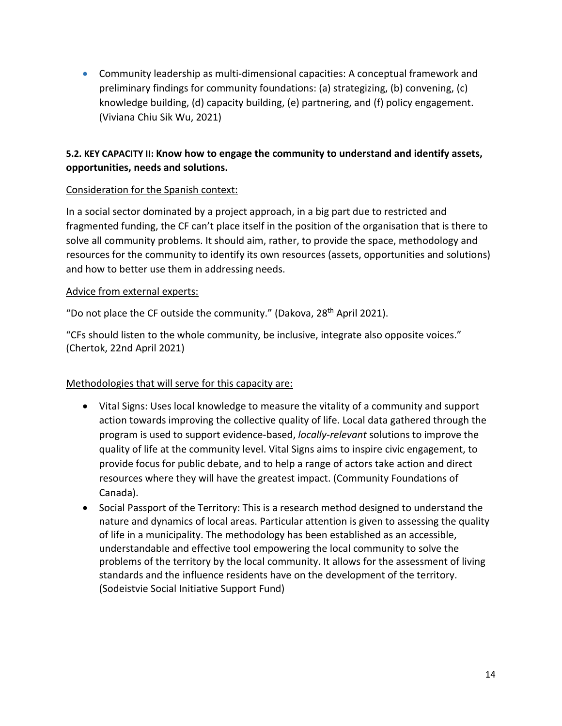• Community leadership as multi-dimensional capacities: A conceptual framework and preliminary findings for community foundations: (a) strategizing, (b) convening, (c) knowledge building, (d) capacity building, (e) partnering, and (f) policy engagement. (Viviana Chiu Sik Wu, 2021)

# **5.2. KEY CAPACITY II: Know how to engage the community to understand and identify assets, opportunities, needs and solutions.**

## Consideration for the Spanish context:

In a social sector dominated by a project approach, in a big part due to restricted and fragmented funding, the CF can't place itself in the position of the organisation that is there to solve all community problems. It should aim, rather, to provide the space, methodology and resources for the community to identify its own resources (assets, opportunities and solutions) and how to better use them in addressing needs.

## Advice from external experts:

"Do not place the CF outside the community." (Dakova,  $28<sup>th</sup>$  April 2021).

"CFs should listen to the whole community, be inclusive, integrate also opposite voices." (Chertok, 22nd April 2021)

## Methodologies that will serve for this capacity are:

- Vital Signs: Uses local knowledge to measure the vitality of a community and support action towards improving the collective quality of life. Local data gathered through the program is used to support evidence-based, *locally-relevant* solutions to improve the quality of life at the community level. Vital Signs aims to inspire civic engagement, to provide focus for public debate, and to help a range of actors take action and direct resources where they will have the greatest impact. (Community Foundations of Canada).
- Social Passport of the Territory: This is a research method designed to understand the nature and dynamics of local areas. Particular attention is given to assessing the quality of life in a municipality. The methodology has been established as an accessible, understandable and effective tool empowering the local community to solve the problems of the territory by the local community. It allows for the assessment of living standards and the influence residents have on the development of the territory. (Sodeistvie Social Initiative Support Fund)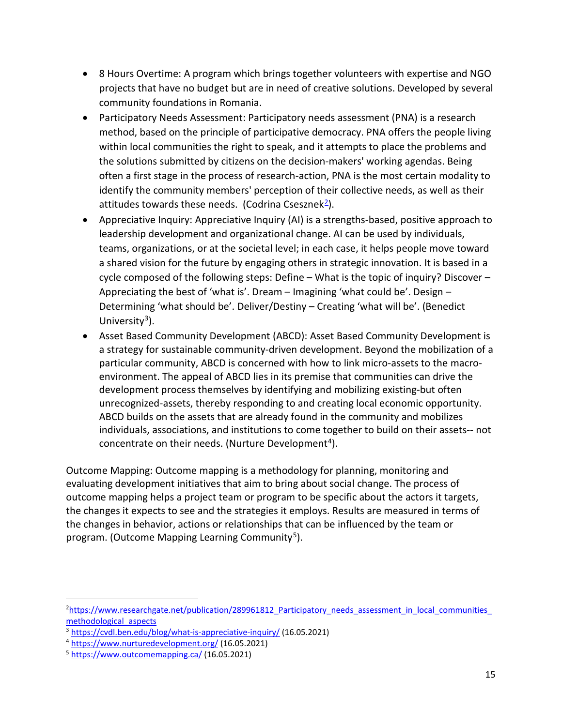- 8 Hours Overtime: A program which brings together volunteers with expertise and NGO projects that have no budget but are in need of creative solutions. Developed by several community foundations in Romania.
- Participatory Needs Assessment: Participatory needs assessment (PNA) is a research method, based on the principle of participative democracy. PNA offers the people living within local communities the right to speak, and it attempts to place the problems and the solutions submitted by citizens on the decision-makers' working agendas. Being often a first stage in the process of research-action, PNA is the most certain modality to identify the community members' perception of their collective needs, as well as their attitudes towards these needs. (Codrina Csesznek<sup>2</sup>).
- Appreciative Inquiry: Appreciative Inquiry (AI) is a strengths-based, positive approach to leadership development and organizational change. AI can be used by individuals, teams, organizations, or at the societal level; in each case, it helps people move toward a shared vision for the future by engaging others in strategic innovation. It is based in a cycle composed of the following steps: Define – What is the topic of inquiry? Discover – Appreciating the best of 'what is'. Dream – Imagining 'what could be'. Design – Determining 'what should be'. Deliver/Destiny – Creating 'what will be'. (Benedict University<sup>3</sup>).
- Asset Based Community Development (ABCD): Asset Based Community Development is a strategy for sustainable community-driven development. Beyond the mobilization of a particular community, ABCD is concerned with how to link micro-assets to the macroenvironment. The appeal of ABCD lies in its premise that communities can drive the development process themselves by identifying and mobilizing existing-but often unrecognized-assets, thereby responding to and creating local economic opportunity. ABCD builds on the assets that are already found in the community and mobilizes individuals, associations, and institutions to come together to build on their assets-- not concentrate on their needs. (Nurture Development<sup>4</sup>).

Outcome Mapping: Outcome mapping is a methodology for planning, monitoring and evaluating development initiatives that aim to bring about social change. The process of outcome mapping helps a project team or program to be specific about the actors it targets, the changes it expects to see and the strategies it employs. Results are measured in terms of the changes in behavior, actions or relationships that can be influenced by the team or program. (Outcome Mapping Learning Community<sup>[5](#page-16-3)</sup>).

<span id="page-16-0"></span><sup>&</sup>lt;sup>2</sup>[https://www.researchgate.net/publication/289961812\\_Participatory\\_needs\\_assessment\\_in\\_local\\_communities\\_](https://www.researchgate.net/publication/289961812_Participatory_needs_assessment_in_local_communities_methodological_aspects) methodological\_aspects<br><sup>3</sup> <https://cvdl.ben.edu/blog/what-is-appreciative-inquiry/> (16.05.2021)

<span id="page-16-2"></span><span id="page-16-1"></span><sup>4</sup> <https://www.nurturedevelopment.org/> (16.05.2021)

<span id="page-16-3"></span><sup>5</sup> <https://www.outcomemapping.ca/> (16.05.2021)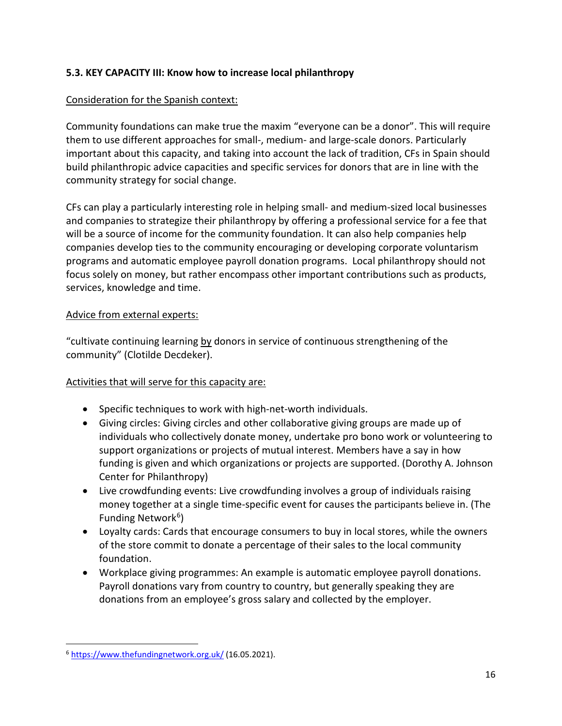# **5.3. KEY CAPACITY III: Know how to increase local philanthropy**

#### Consideration for the Spanish context:

Community foundations can make true the maxim "everyone can be a donor". This will require them to use different approaches for small-, medium- and large-scale donors. Particularly important about this capacity, and taking into account the lack of tradition, CFs in Spain should build philanthropic advice capacities and specific services for donors that are in line with the community strategy for social change.

CFs can play a particularly interesting role in helping small- and medium-sized local businesses and companies to strategize their philanthropy by offering a professional service for a fee that will be a source of income for the community foundation. It can also help companies help companies develop ties to the community encouraging or developing corporate voluntarism programs and automatic employee payroll donation programs. Local philanthropy should not focus solely on money, but rather encompass other important contributions such as products, services, knowledge and time.

#### Advice from external experts:

"cultivate continuing learning by donors in service of continuous strengthening of the community" (Clotilde Decdeker).

## Activities that will serve for this capacity are:

- Specific techniques to work with high-net-worth individuals.
- Giving circles: Giving circles and other collaborative giving groups are made up of individuals who collectively donate money, undertake pro bono work or volunteering to support organizations or projects of mutual interest. Members have a say in how funding is given and which organizations or projects are supported. (Dorothy A. Johnson Center for Philanthropy)
- Live crowdfunding events: Live crowdfunding involves a group of individuals raising money together at a single time-specific event for causes the participants believe in. (The Funding Network<sup>6</sup>)
- Loyalty cards: Cards that encourage consumers to buy in local stores, while the owners of the store commit to donate a percentage of their sales to the local community foundation.
- Workplace giving programmes: An example is automatic employee payroll donations. Payroll donations vary from country to country, but generally speaking they are donations from an employee's gross salary and collected by the employer.

<span id="page-17-0"></span><sup>6</sup> <https://www.thefundingnetwork.org.uk/> (16.05.2021).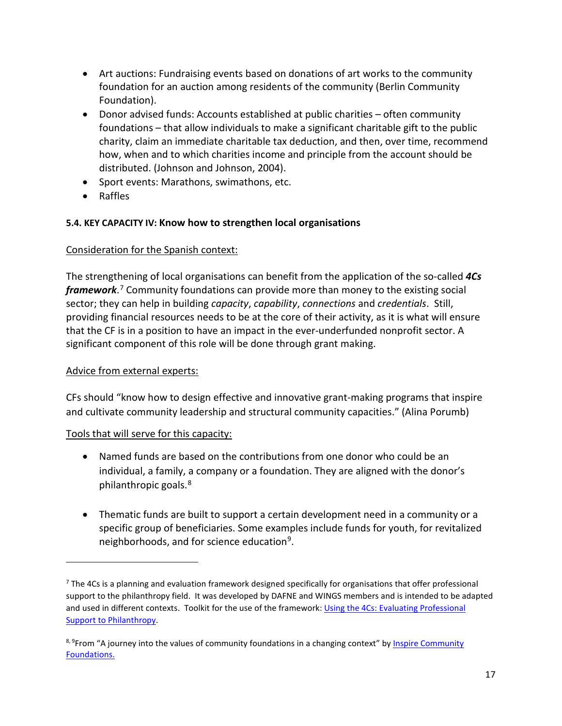- Art auctions: Fundraising events based on donations of art works to the community foundation for an auction among residents of the community (Berlin Community Foundation).
- Donor advised funds: Accounts established at public charities often community foundations – that allow individuals to make a significant charitable gift to the public charity, claim an immediate charitable tax deduction, and then, over time, recommend how, when and to which charities income and principle from the account should be distributed. (Johnson and Johnson, 2004).
- Sport events: Marathons, swimathons, etc.
- Raffles

## **5.4. KEY CAPACITY IV: Know how to strengthen local organisations**

## Consideration for the Spanish context:

The strengthening of local organisations can benefit from the application of the so-called *4Cs framework*. [7](#page-18-0) Community foundations can provide more than money to the existing social sector; they can help in building *capacity*, *capability*, *connections* and *credentials*. Still, providing financial resources needs to be at the core of their activity, as it is what will ensure that the CF is in a position to have an impact in the ever-underfunded nonprofit sector. A significant component of this role will be done through grant making.

## Advice from external experts:

CFs should "know how to design effective and innovative grant-making programs that inspire and cultivate community leadership and structural community capacities." (Alina Porumb)

## Tools that will serve for this capacity:

- Named funds are based on the contributions from one donor who could be an individual, a family, a company or a foundation. They are aligned with the donor's philanthropic goals.[8](#page-18-1)
- Thematic funds are built to support a certain development need in a community or a specific group of beneficiaries. Some examples include funds for youth, for revitalized neighborhoods, and for science education<sup>[9](#page-18-2)</sup>.

<span id="page-18-0"></span> $<sup>7</sup>$  [The 4Cs](https://dafne-online.eu/wp-content/uploads/2019/05/using-the-4cs.pdf) is a planning and evaluation framework designed specifically for organisations that offer professional</sup> support to the philanthropy field. It was developed by DAFNE and WINGS members and is intended to be adapted and used in different contexts. Toolkit for the use of the framework: Using the 4Cs: Evaluating Professional [Support to Philanthropy.](https://wings.issuelab.org/resource/using-the-4cs-evaluating-professional-support-to-philanthropy.html)

<span id="page-18-2"></span><span id="page-18-1"></span><sup>&</sup>lt;sup>8, 9</sup>From "A journey into the values of community foundations in a changing context" by **Inspire Community** [Foundations.](https://inspire-change.org/)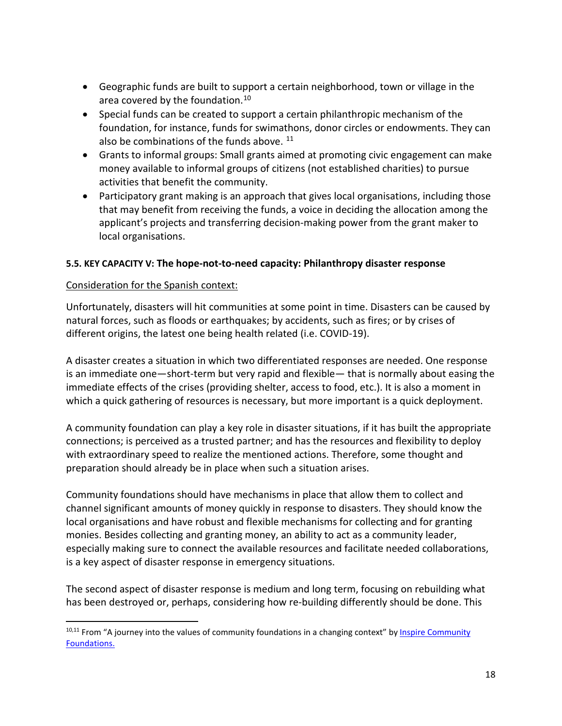- Geographic funds are built to support a certain neighborhood, town or village in the area covered by the foundation.[10](#page-19-0)
- Special funds can be created to support a certain philanthropic mechanism of the foundation, for instance, funds for swimathons, donor circles or endowments. They can also be combinations of the funds above.<sup>[11](#page-19-1)</sup>
- Grants to informal groups: Small grants aimed at promoting civic engagement can make money available to informal groups of citizens (not established charities) to pursue activities that benefit the community.
- Participatory grant making is an approach that gives local organisations, including those that may benefit from receiving the funds, a voice in deciding the allocation among the applicant's projects and transferring decision-making power from the grant maker to local organisations.

## **5.5. KEY CAPACITY V: The hope-not-to-need capacity: Philanthropy disaster response**

#### Consideration for the Spanish context:

Unfortunately, disasters will hit communities at some point in time. Disasters can be caused by natural forces, such as floods or earthquakes; by accidents, such as fires; or by crises of different origins, the latest one being health related (i.e. COVID-19).

A disaster creates a situation in which two differentiated responses are needed. One response is an immediate one—short-term but very rapid and flexible— that is normally about easing the immediate effects of the crises (providing shelter, access to food, etc.). It is also a moment in which a quick gathering of resources is necessary, but more important is a quick deployment.

A community foundation can play a key role in disaster situations, if it has built the appropriate connections; is perceived as a trusted partner; and has the resources and flexibility to deploy with extraordinary speed to realize the mentioned actions. Therefore, some thought and preparation should already be in place when such a situation arises.

Community foundations should have mechanisms in place that allow them to collect and channel significant amounts of money quickly in response to disasters. They should know the local organisations and have robust and flexible mechanisms for collecting and for granting monies. Besides collecting and granting money, an ability to act as a community leader, especially making sure to connect the available resources and facilitate needed collaborations, is a key aspect of disaster response in emergency situations.

The second aspect of disaster response is medium and long term, focusing on rebuilding what has been destroyed or, perhaps, considering how re-building differently should be done. This

<span id="page-19-1"></span><span id="page-19-0"></span><sup>10,11</sup> From "A journey into the values of community foundations in a changing context" by *Inspire Community* [Foundations.](https://inspire-change.org/)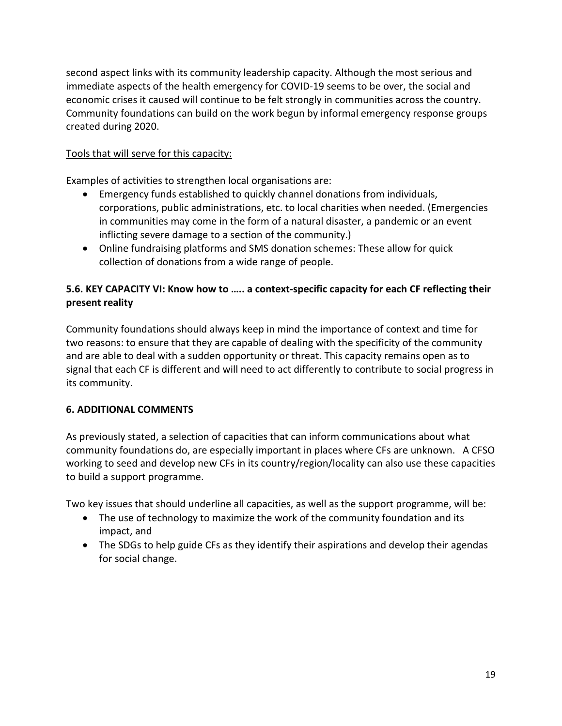second aspect links with its community leadership capacity. Although the most serious and immediate aspects of the health emergency for COVID-19 seems to be over, the social and economic crises it caused will continue to be felt strongly in communities across the country. Community foundations can build on the work begun by informal emergency response groups created during 2020.

# Tools that will serve for this capacity:

Examples of activities to strengthen local organisations are:

- Emergency funds established to quickly channel donations from individuals, corporations, public administrations, etc. to local charities when needed. (Emergencies in communities may come in the form of a natural disaster, a pandemic or an event inflicting severe damage to a section of the community.)
- Online fundraising platforms and SMS donation schemes: These allow for quick collection of donations from a wide range of people.

# **5.6. KEY CAPACITY VI: Know how to ….. a context-specific capacity for each CF reflecting their present reality**

Community foundations should always keep in mind the importance of context and time for two reasons: to ensure that they are capable of dealing with the specificity of the community and are able to deal with a sudden opportunity or threat. This capacity remains open as to signal that each CF is different and will need to act differently to contribute to social progress in its community.

## **6. ADDITIONAL COMMENTS**

As previously stated, a selection of capacities that can inform communications about what community foundations do, are especially important in places where CFs are unknown. A CFSO working to seed and develop new CFs in its country/region/locality can also use these capacities to build a support programme.

Two key issues that should underline all capacities, as well as the support programme, will be:

- The use of technology to maximize the work of the community foundation and its impact, and
- The SDGs to help guide CFs as they identify their aspirations and develop their agendas for social change.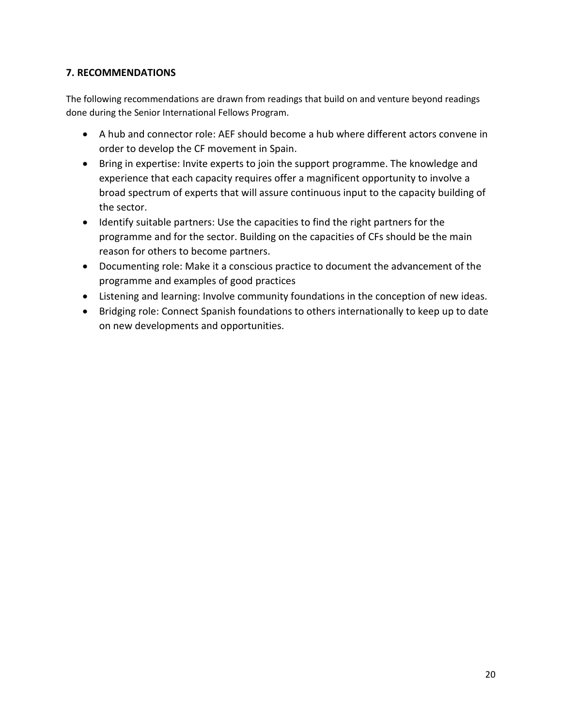## **7. RECOMMENDATIONS**

The following recommendations are drawn from readings that build on and venture beyond readings done during the Senior International Fellows Program.

- A hub and connector role: AEF should become a hub where different actors convene in order to develop the CF movement in Spain.
- Bring in expertise: Invite experts to join the support programme. The knowledge and experience that each capacity requires offer a magnificent opportunity to involve a broad spectrum of experts that will assure continuous input to the capacity building of the sector.
- Identify suitable partners: Use the capacities to find the right partners for the programme and for the sector. Building on the capacities of CFs should be the main reason for others to become partners.
- Documenting role: Make it a conscious practice to document the advancement of the programme and examples of good practices
- Listening and learning: Involve community foundations in the conception of new ideas.
- Bridging role: Connect Spanish foundations to others internationally to keep up to date on new developments and opportunities.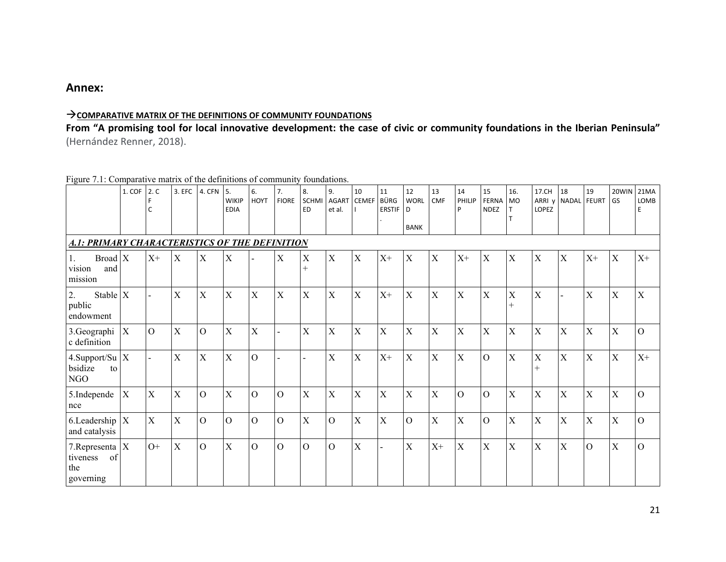## **Annex:**

#### **COMPARATIVE MATRIX OF THE DEFINITIONS OF COMMUNITY FOUNDATIONS**

**From "A promising tool for local innovative development: the case of civic or community foundations in the Iberian Peninsula"**  (Hernández Renner, 2018).

#### Figure 7.1: Comparative matrix of the definitions of community foundations.

|                                                           | 1. COF       | 2. C<br>C      | 3. EFC      | 4. CFN                    | I 5.<br><b>WIKIP</b><br><b>EDIA</b> | 6.<br><b>HOYT</b> | 7.<br><b>FIORE</b> | 8.<br><b>SCHMI</b><br><b>ED</b> | 9.<br><b>AGART</b><br>et al. | 10<br><b>CEMEF</b>        | 11<br>BÜRG<br><b>ERSTIF</b> | 12<br><b>WORL</b><br>D<br><b>BANK</b> | 13<br><b>CMF</b>          | 14<br>PHILIP<br>P | 15<br><b>FERNA</b><br><b>NDEZ</b> | 16.<br><b>MO</b><br>T.           | 17.CH<br>ARRI v<br>LOPEZ | 18<br>NADAL    | 19<br><b>FEURT</b> | 20WIN<br>GS               | 21MA<br>LOMB<br>E |
|-----------------------------------------------------------|--------------|----------------|-------------|---------------------------|-------------------------------------|-------------------|--------------------|---------------------------------|------------------------------|---------------------------|-----------------------------|---------------------------------------|---------------------------|-------------------|-----------------------------------|----------------------------------|--------------------------|----------------|--------------------|---------------------------|-------------------|
| A.1: PRIMARY CHARACTERISTICS OF THE DEFINITION            |              |                |             |                           |                                     |                   |                    |                                 |                              |                           |                             |                                       |                           |                   |                                   |                                  |                          |                |                    |                           |                   |
| $Broad \nX$<br>Ι.<br>and<br>vision<br>mission             |              | $X+$           | $\mathbf X$ | $\boldsymbol{\mathrm{X}}$ | $\mathbf X$                         |                   | X                  | X<br>$^{+}$                     | $\mathbf{X}$                 | $\mathbf X$               | $X+$                        | X                                     | X                         | $X+$              | X                                 | $\mathbf X$                      | X                        | $\mathbf X$    | $X+$               | X                         | $X+$              |
| Stable $X$<br>2.<br>public<br>endowment                   |              |                | $\mathbf X$ | $\boldsymbol{\mathrm{X}}$ | $\mathbf X$                         | X                 | X                  | X                               | $\mathbf X$                  | $\mathbf X$               | $X+$                        | $\mathbf X$                           | $\boldsymbol{\mathrm{X}}$ | X                 | X                                 | $\boldsymbol{\mathrm{X}}$<br>$+$ | $\mathbf X$              |                | $\mathbf X$        | $\mathbf X$               | $\mathbf X$       |
| 3.Geographi<br>c definition                               | X            | $\overline{O}$ | $\mathbf X$ | $\overline{O}$            | X                                   | X                 |                    | X                               | X                            | $\boldsymbol{\mathrm{X}}$ | X                           | X                                     | X                         | X                 | X                                 | $\boldsymbol{\mathrm{X}}$        | X                        | $\mathbf X$    | $\mathbf X$        | $\boldsymbol{\mathrm{X}}$ | $\overline{O}$    |
| 4. Support/Su $ X $<br>bsidize<br>to<br>NGO               |              |                | $\mathbf X$ | $\mathbf X$               | $\mathbf X$                         | $\mathbf O$       |                    |                                 | X                            | $\mathbf X$               | $X^+$                       | $\mathbf X$                           | X                         | $\overline{X}$    | $\overline{O}$                    | $\overline{X}$                   | $\mathbf X$<br>$+$       | $\mathbf X$    | $\overline{X}$     | $\mathbf X$               | $X+$              |
| 5.Independe<br>nce                                        | $\mathbf{X}$ | $\mathbf X$    | $\mathbf X$ | $\overline{O}$            | $\mathbf X$                         | $\mathbf O$       | $\overline{O}$     | X                               | X                            | X                         | $\overline{X}$              | $\mathbf X$                           | X                         | $\mathbf O$       | $\overline{O}$                    | $\overline{X}$                   | X                        | $\overline{X}$ | $\bar{X}$          | $\mathbf X$               | $\Omega$          |
| 6. Leadership $X$<br>and catalysis                        |              | $\mathbf X$    | $\mathbf X$ | $\overline{O}$            | $\mathbf{O}$                        | $\mathbf{O}$      | $\Omega$           | $\overline{X}$                  | $\overline{O}$               | X                         | $\mathbf X$                 | $\overline{O}$                        | X                         | X                 | $\overline{O}$                    | $\overline{X}$                   | X                        | $\mathbf X$    | $\mathbf X$        | $\mathbf X$               | $\overline{O}$    |
| 7. Representa $ X $<br>of<br>tiveness<br>the<br>governing |              | $O+$           | $\mathbf X$ | $\overline{O}$            | $\mathbf X$                         | $\mathcal{O}$     | $\mathcal{O}$      | $\mathcal{O}$                   | $\Omega$                     | X                         | ÷                           | $\mathbf X$                           | $X+$                      | $\mathbf X$       | X                                 | $\boldsymbol{\mathrm{X}}$        | $\mathbf X$              | $\mathbf X$    | $\mathcal{O}$      | $\mathbf X$               | $\overline{O}$    |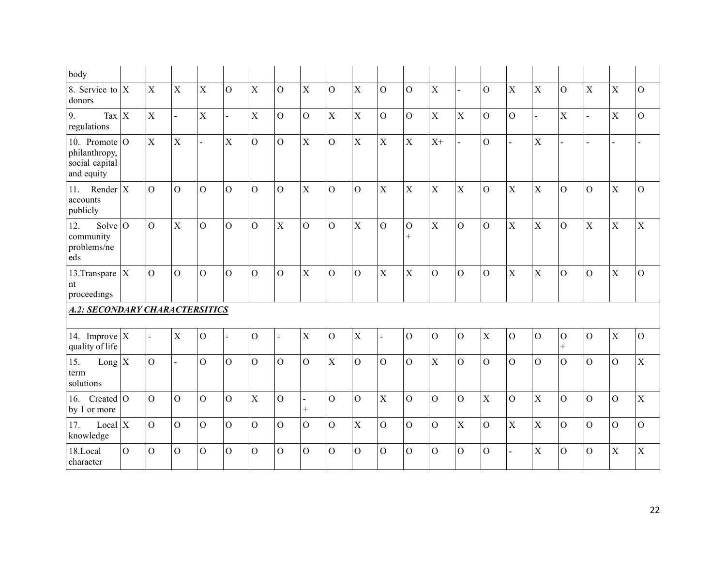| body                                                               |          |                |                |                |                |                |                |                          |                |                |                |                        |                |                |                |                |                |                          |                |                |                |
|--------------------------------------------------------------------|----------|----------------|----------------|----------------|----------------|----------------|----------------|--------------------------|----------------|----------------|----------------|------------------------|----------------|----------------|----------------|----------------|----------------|--------------------------|----------------|----------------|----------------|
| 8. Service to $X$<br>donors                                        |          | $\mathbf X$    | $\mathbf X$    | $\mathbf X$    | $\mathcal{O}$  | $\mathbf X$    | $\mathcal{O}$  | $\mathbf X$              | $\mathbf{O}$   | $\mathbf X$    | $\overline{O}$ | $\mathcal{O}$          | $\mathbf X$    |                | $\overline{O}$ | $\mathbf X$    | $\mathbf X$    | $\overline{O}$           | $\mathbf X$    | $\mathbf X$    | $\mathcal{O}$  |
| $\left  \right $ Tax $\left  X \right $<br>9.<br>regulations       |          | $\mathbf X$    | $\mathbf{r}$   | X              | $\blacksquare$ | $\mathbf X$    | $\mathcal{O}$  | $\mathcal O$             | $\mathbf X$    | $\mathbf X$    | $\mathbf O$    | $\overline{O}$         | X              | $\mathbf X$    | $\mathcal{O}$  | $\mathbf O$    | $\overline{a}$ | $\mathbf X$              | $\mathbb{L}^2$ | X              | $\mathcal{O}$  |
| 10. Promote $ O $<br>philanthropy,<br>social capital<br>and equity |          | $\mathbf X$    | $\mathbf X$    | $\overline{a}$ | $\mathbf X$    | $\overline{O}$ | $\mathcal{O}$  | $\mathbf X$              | $\overline{O}$ | $\mathbf X$    | $\mathbf X$    | $\mathbf X$            | $X^+$          |                | $\overline{O}$ | $\blacksquare$ | X              |                          | $\overline{a}$ |                |                |
| Render $X$<br>11.<br>accounts<br>publicly                          |          | $\overline{O}$ | $\overline{O}$ | $\overline{O}$ | $\overline{O}$ | $\mathbf O$    | $\overline{O}$ | $\mathbf X$              | $\overline{O}$ | $\mathbf{O}$   | $\mathbf X$    | $\mathbf X$            | $\mathbf X$    | $\overline{X}$ | $\mathcal{O}$  | $\mathbf X$    | $\overline{X}$ | $\mathcal{O}$            | $\mathcal{O}$  | X              | $\overline{O}$ |
| Solve $\overline{O}$<br>12.<br>community<br>problems/ne<br>eds     |          | $\overline{O}$ | $\mathbf X$    | $\overline{O}$ | $\overline{O}$ | $\overline{O}$ | $\mathbf X$    | $\overline{O}$           | $\overline{O}$ | $\mathbf X$    | $\overline{O}$ | $\mathbf{O}$<br>$^{+}$ | $\mathbf X$    | $\overline{O}$ | $\mathcal{O}$  | $\mathbf X$    | $\mathbf X$    | $\overline{O}$           | $\mathbf X$    | $\mathbf X$    | $\mathbf X$    |
| 13. Transpare $X$<br>nt<br>proceedings                             |          | $\overline{O}$ | $\overline{O}$ | $\Omega$       | $\overline{O}$ | $\overline{O}$ | $\overline{O}$ | $\mathbf X$              | $\overline{O}$ | $\overline{O}$ | $\mathbf X$    | $\bar{X}$              | $\overline{O}$ | $\overline{O}$ | $\overline{O}$ | $\overline{X}$ | $\mathbf X$    | $\overline{O}$           | $\mathbf{O}$   | $\mathbf X$    | $\overline{O}$ |
| <b>A.2: SECONDARY CHARACTERSITICS</b>                              |          |                |                |                |                |                |                |                          |                |                |                |                        |                |                |                |                |                |                          |                |                |                |
| 14. Improve $X$<br>quality of life                                 |          | $\overline{a}$ | $\mathbf X$    | $\mathbf{O}$   | $\blacksquare$ | $\overline{O}$ |                | $\mathbf X$              | $\overline{O}$ | $\mathbf X$    | Ξ.             | $\mathcal{O}$          | $\mathbf{O}$   | $\overline{O}$ | $\mathbf X$    | $\mathbf O$    | $\mathbf O$    | $\overline{O}$<br>$^{+}$ | $\mathbf{O}$   | $\mathbf X$    | $\overline{O}$ |
| $Long X15.termsolutions$                                           |          | $\mathbf{O}$   |                | $\overline{O}$ | $\mathbf O$    | $\mathbf{O}$   | $\overline{O}$ | $\mathbf O$              | $\mathbf X$    | $\overline{O}$ | $\overline{O}$ | $\overline{O}$         | $\bar{X}$      | $\overline{O}$ | $\Omega$       | $\overline{O}$ | $\overline{O}$ | $\overline{O}$           | $\mathbf{O}$   | $\Omega$       | $\mathbf X$    |
| 16. Created $\overline{O}$<br>by 1 or more                         |          | $\overline{O}$ | $\mathbf{O}$   | $\overline{O}$ | $\mathbf O$    | $\mathbf X$    | $\mathbf O$    | $\overline{a}$<br>$^{+}$ | $\overline{O}$ | $\overline{O}$ | $\overline{X}$ | $\overline{O}$         | $\mathbf{O}$   | $\overline{O}$ | $\mathbf X$    | $\mathbf O$    | $\overline{X}$ | $\overline{O}$           | $\mathcal O$   | $\mathcal{O}$  | $\mathbf X$    |
| Local $X$<br>17.<br>knowledge                                      |          | $\overline{O}$ | $\overline{O}$ | $\overline{O}$ | $\overline{O}$ | $\overline{O}$ | $\overline{O}$ | $\overline{O}$           | $\overline{O}$ | $\mathbf X$    | $\overline{O}$ | $\overline{O}$         | $\overline{O}$ | $\mathbf X$    | $\overline{O}$ | $\mathbf X$    | $\mathbf X$    | $\overline{O}$           | $\overline{O}$ | $\overline{O}$ | $\overline{O}$ |
| 18.Local<br>character                                              | $\Omega$ | $\overline{O}$ | $\mathcal{O}$  | $\Omega$       | $\overline{O}$ | $\mathcal{O}$  | $\overline{O}$ | $\mathbf O$              | $\overline{O}$ | $\mathcal{O}$  | $\overline{O}$ | $\overline{O}$         | $\overline{O}$ | $\overline{O}$ | $\mathcal{O}$  | $\overline{a}$ | $\mathbf X$    | $\mathcal{O}$            | $\mathcal{O}$  | $\mathbf X$    | $\mathbf X$    |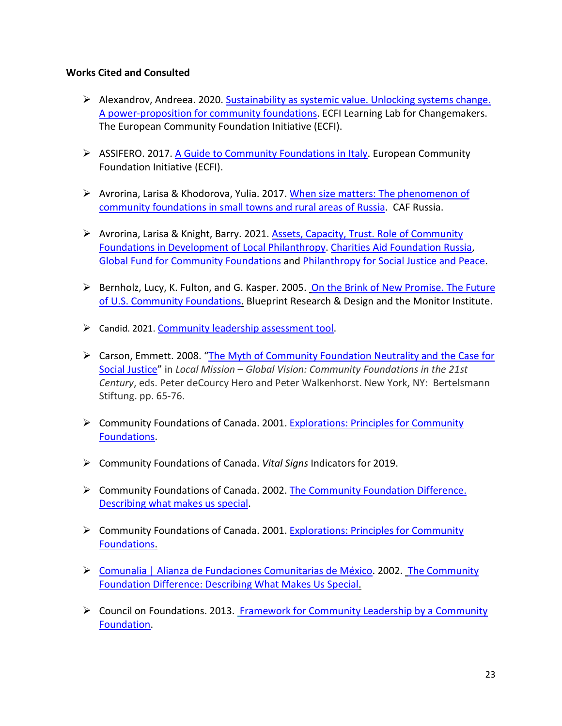#### **Works Cited and Consulted**

- $\triangleright$  Alexandrov, Andreea. 2020. Sustainability as systemic value. Unlocking systems change. A power-proposition for community foundations. ECFI Learning Lab for Changemakers. The European Community Foundation Initiative (ECFI).
- ASSIFERO. 2017. [A Guide to Community Foundations in Italy.](https://cpcs.commons.gc.cuny.edu/wp-content/blogs.dir/3079/files/2018/04/Assifero-Italien_Guide_RZ.pdf) European Community Foundation Initiative (ECFI).
- $\triangleright$  Avrorina, Larisa & Khodorova, Yulia. 2017. When size matters: The phenomenon of [community foundations in small towns and rural areas of Russia.](https://www.cafonline.org/docs/default-source/about-us-research/when-size-matters-caf-russia-community-foundation-report.pdf) CAF Russia.
- $\triangleright$  Avrorina, Larisa & Knight, Barry. 2021. [Assets, Capacity, Trust.](https://globalfundcommunityfoundations.org/wp-content/uploads/2021/03/AssetsCapacitiesTrust_Feb2021.pdf) Role of Community [Foundations in Development of Local Philanthropy.](https://globalfundcommunityfoundations.org/wp-content/uploads/2021/03/AssetsCapacitiesTrust_Feb2021.pdf) [Charities Aid Foundation Russia,](http://www.cafrussia.ru/) [Global Fund for Community Foundations](http://www.globalfundcommunityfoundations.org/) and [Philanthropy for Social Justice and Peace.](https://cpcs.commons.gc.cuny.edu/wp-content/blogs.dir/3079/files/2018/04/Assifero-Italien_Guide_RZ.pdf)
- $\triangleright$  Bernholz, Lucy, K. Fulton, and G. Kasper. 2005. On the Brink of New Promise. The Future [of U.S. Community Foundations.](http://philanthropy.org/documents/IFPBernholz.pdf) Blueprint Research & Design and the Monitor Institute.
- Candid. 2021. [Community leadership assessment tool.](https://www.issuelab.org/resources/36380/36380.pdf)
- $\triangleright$  Carson, Emmett. 2008. "The Myth of Community Foundation Neutrality and the Case for [Social Justice"](https://cpcs.commons.gc.cuny.edu/files/2017/06/Carson_MythofCFNeutrality_2008.pdf) in *Local Mission – Global Vision: Community Foundations in the 21st Century*, eds. Peter deCourcy Hero and Peter Walkenhorst. New York, NY: Bertelsmann Stiftung. pp. 65-76.
- Community Foundations of Canada. 2001. [Explorations: Principles for Community](https://philea.issuelab.org/resource/community-foundations-of-canada-explorations-principles-for-community-foundations.html)  [Foundations.](https://philea.issuelab.org/resource/community-foundations-of-canada-explorations-principles-for-community-foundations.html)
- Community Foundations of Canada. *Vital Signs* Indicators for 2019.
- Community Foundations of Canada. 2002. [The Community Foundation Difference.](https://www.issuelab.org/resources/13717/13717.pdf)  [Describing what makes us special.](https://www.issuelab.org/resources/13717/13717.pdf)
- Community Foundations of Canada. 2001. [Explorations: Principles for Community](https://www.huzurevleri.org.tr/docs/CommunityFoundationsOfCanada_PrinciplesForCommunityFoundations.pdf)  [Foundations.](https://www.huzurevleri.org.tr/docs/CommunityFoundationsOfCanada_PrinciplesForCommunityFoundations.pdf)
- [Comunalia | Alianza de Fundaciones Comunitarias de México.](https://comunalia.org.mx/) 2002. [The Community](http://wings.issuelab.org/resources/13691/13691.pdf)  [Foundation Difference: Describing What Makes Us Special.](http://wings.issuelab.org/resources/13691/13691.pdf)
- Council on Foundations. 2013. [Framework for Community Leadership by a Community](https://www.cof.org/sites/default/files/documents/files/Framework%20for%20Community%20Leadership%20by%20a%20Community%20Foundation%202013.pdf)  [Foundation.](https://www.cof.org/sites/default/files/documents/files/Framework%20for%20Community%20Leadership%20by%20a%20Community%20Foundation%202013.pdf)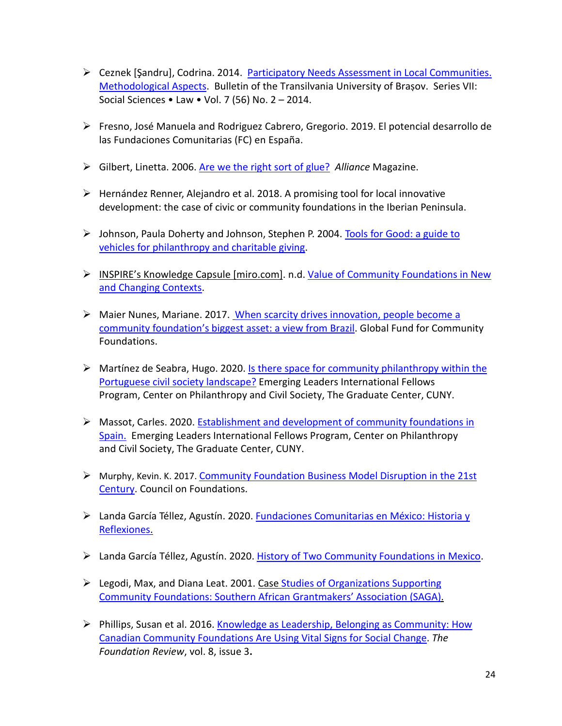- Ceznek [Şandru], Codrina. 2014. [Participatory Needs Assessment in Local Communities.](https://www.researchgate.net/publication/289961812_Participatory_needs_assessment_in_local_communities_methodological_aspects)  [Methodological Aspects.](https://www.researchgate.net/publication/289961812_Participatory_needs_assessment_in_local_communities_methodological_aspects) Bulletin of the Transilvania University of Braṣov. Series VII: Social Sciences • Law • Vol. 7 (56) No. 2 – 2014.
- Fresno, José Manuela and Rodriguez Cabrero, Gregorio. 2019. El potencial desarrollo de las Fundaciones Comunitarias (FC) en España.
- Gilbert, Linetta. 2006. [Are we the right sort of glue?](https://www.alliancemagazine.org/feature/are-we-the-right-sort-of-glue/) *Alliance* Magazine.
- $\triangleright$  Hernández Renner, Alejandro et al. 2018. A promising tool for local innovative development: the case of civic or community foundations in the Iberian Peninsula.
- $\triangleright$  Johnson, Paula Doherty and Johnson, Stephen P. 2004. Tools for Good: a guide to [vehicles for philanthropy and charitable giving.](https://wings.issuelab.org/resources/14017/14017.pdf)
- $\triangleright$  INSPIRE's [Knowledge Capsule](https://urldefense.proofpoint.com/v2/url?u=https-3A__miro.com_app_board_o9J-5FlNHJosQ-3D_&d=DwMFaQ&c=8v77JlHZOYsReeOxyYXDU39VUUzHxyfBUh7fw_ZfBDA&r=uGLs45X8PnntAVqXMUFXyfmopxcIbBX8X2HHIrtbvNQ&m=80DoABVyFMN4_ghtOqPxBc1PHmi-P9A0-xmoq_JAoPU&s=Zh4bnt_eEVX3D9InpFr6zdmFLGeYNdCDllgj4e8XG0A&e=) [miro.com]. n.d. Value of Community Foundations in New [and Changing Contexts.](https://miro.com/app/board/o9J_lNHJosQ=/)
- Maier Nunes, Mariane. 2017. [When scarcity drives innovation, people become a](https://cpcs.commons.gc.cuny.edu/wp-content/blogs.dir/3079/files/2017/03/When-scarcity-drives-innovation-people-becomes-a-CFs-biggest-asset_M-Maier-Nunes.pdf)  [community foundation's biggest asset: a view from](https://cpcs.commons.gc.cuny.edu/wp-content/blogs.dir/3079/files/2017/03/When-scarcity-drives-innovation-people-becomes-a-CFs-biggest-asset_M-Maier-Nunes.pdf) Brazil. Global Fund for Community Foundations.
- $\triangleright$  Martínez de Seabra, Hugo. 2020. Is there space for community philanthropy within the [Portuguese civil society landscape?](https://www.gc.cuny.edu/center-philanthropy-and-civil-society/publications-and-research/international-fellows-research) Emerging Leaders International Fellows Program, Center on Philanthropy and Civil Society, The Graduate Center, CUNY.
- Massot, Carles. 2020. [Establishment and development of community foundations in](https://www.cof.org/sites/default/files/documents/files/Community-Foundation-Disruptions-21st-Century.pdf)  [Spain.](https://www.cof.org/sites/default/files/documents/files/Community-Foundation-Disruptions-21st-Century.pdf) Emerging Leaders International Fellows Program, Center on Philanthropy and Civil Society, The Graduate Center, CUNY.
- Murphy, Kevin. K. 2017. [Community Foundation Business Model Disruption in the 21st](https://www.cof.org/sites/default/files/documents/files/Community-Foundation-Disruptions-21st-Century.pdf)  [Century.](https://www.cof.org/sites/default/files/documents/files/Community-Foundation-Disruptions-21st-Century.pdf) Council on Foundations.
- Landa García Téllez, Agustín. 2020. [Fundaciones Comunitarias en México: Historia y](https://cpcs.commons.gc.cuny.edu/wp-content/blogs.dir/3079/files/2021/04/Fundaciones-Comunitarias-en-Mexico-Historia-y-Reflexiones-ver-final.pdf)  [Reflexiones.](https://cpcs.commons.gc.cuny.edu/wp-content/blogs.dir/3079/files/2021/04/Fundaciones-Comunitarias-en-Mexico-Historia-y-Reflexiones-ver-final.pdf)
- Landa García Téllez, Agustín. 2020. [History of Two Community Foundations in Mexico.](https://cpcs.commons.gc.cuny.edu/wp-content/blogs.dir/3079/files/2021/04/Ideas-on-the-creation-of-a-CF-and-CFSO-by-ALGT.pdf)
- $\triangleright$  Legodi, Max, and Diana Leat. 2001. Case Studies of Organizations Supporting [Community Foundations: Southern African Grantmakers' Association \(SAGA\).](https://cpcs.commons.gc.cuny.edu/files/2017/06/Legodi-and-Leat-Case-Study-of-SAGA-2001.pdf)
- Phillips, Susan et al. 2016. Knowledge as Leadership, Belonging as Community: How [Canadian Community Foundations Are Using Vital Signs for Social Change.](https://www.researchgate.net/publication/333221123_Knowledge_as_Leadership_Belonging_as_Community_How_Canadian_Community_Foundations_Are_Using_Vital_Signs_for_Social_Change) *The Foundation Review*, vol. 8, issue 3**.**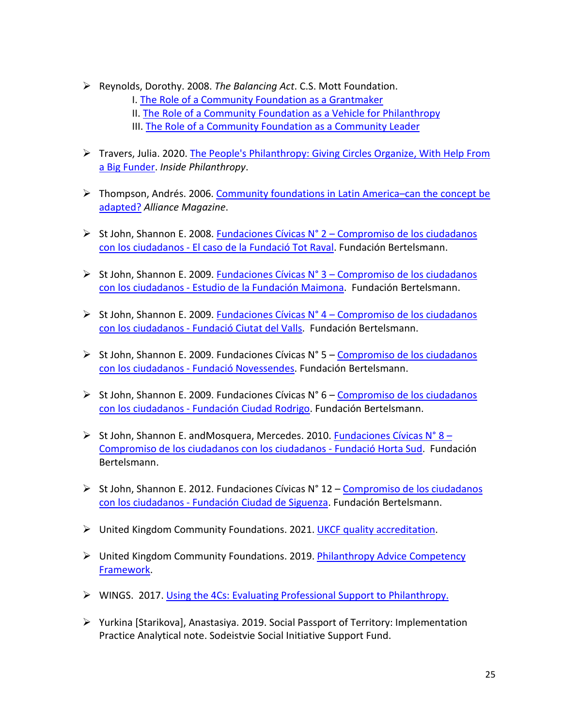Reynolds, Dorothy. 2008. *The Balancing Act*. C.S. Mott Foundation.

I. [The Role of a Community Foundation as a Grantmaker](https://urldefense.proofpoint.com/v2/url?u=http-3A__www.philanthropy.org_seminars_documents_monograph1.pdf&d=DwMF-g&c=8v77JlHZOYsReeOxyYXDU39VUUzHxyfBUh7fw_ZfBDA&r=uGLs45X8PnntAVqXMUFXyfmopxcIbBX8X2HHIrtbvNQ&m=hNa6kSAq_gwjJiYWCNMv-y2vymsruIBB3-wYMHOnmvg&s=4CIaHX3kU3BHGq6Gval_-JzBM_Yx0TxlFAtG3cXOE-k&e=) 

- II. [The Role of a Community Foundation as a Vehicle for Philanthropy](https://urldefense.proofpoint.com/v2/url?u=http-3A__www.philanthropy.org_seminars_documents_monograph2.pdf&d=DwMF-g&c=8v77JlHZOYsReeOxyYXDU39VUUzHxyfBUh7fw_ZfBDA&r=uGLs45X8PnntAVqXMUFXyfmopxcIbBX8X2HHIrtbvNQ&m=hNa6kSAq_gwjJiYWCNMv-y2vymsruIBB3-wYMHOnmvg&s=hrm8hvfv8HHFZ_RimdlfXWxLAY8vsxErQpJ5xjXOEbw&e=)
- III. [The Role of a Community Foundation as a Community Leader](https://urldefense.proofpoint.com/v2/url?u=http-3A__www.philanthropy.org_seminars_documents_monograph2.pdf&d=DwMF-g&c=8v77JlHZOYsReeOxyYXDU39VUUzHxyfBUh7fw_ZfBDA&r=uGLs45X8PnntAVqXMUFXyfmopxcIbBX8X2HHIrtbvNQ&m=hNa6kSAq_gwjJiYWCNMv-y2vymsruIBB3-wYMHOnmvg&s=hrm8hvfv8HHFZ_RimdlfXWxLAY8vsxErQpJ5xjXOEbw&e=)
- Travers, Julia. 2020. [The People's Philanthropy: Giving Circles Organize, With Help From](https://www.insidephilanthropy.com/home/2020/1/8/reclaiming-philanthropy-giving-circles-organize-with-help-from-a-big-funder)  [a Big Funder.](https://www.insidephilanthropy.com/home/2020/1/8/reclaiming-philanthropy-giving-circles-organize-with-help-from-a-big-funder) *Inside Philanthropy*.
- $\triangleright$  Thompson, Andrés. 2006. Community foundations in Latin America–can the concept be [adapted?](https://www.alliancemagazine.org/feature/community-foundations-in-latin-america-can-the-concept-be-adapted/) *Alliance Magazine*.
- $\triangleright$  St John, Shannon E. 2008. Fundaciones Cívicas N° 2 Compromiso de los ciudadanos [con los ciudadanos - El caso de la Fundació Tot Raval.](https://www.fundacionbertelsmann.org/publicaciones/estudio-de-la-fundacio-tot-raval/) Fundación Bertelsmann.
- ► St John, Shannon E. 2009. Fundaciones Cívicas N° 3 Compromiso de los ciudadanos [con los ciudadanos - Estudio de la Fundación Maimona.](https://www.fundacionbertelsmann.org/publicaciones/estudio-de-la-fundacion-maimona/) Fundación Bertelsmann.
- $\triangleright$  St John, Shannon E. 2009. Fundaciones Cívicas N° 4 Compromiso de los ciudadanos [con los ciudadanos - Fundació Ciutat del Valls.](https://www.fundacionbertelsmann.org/publicaciones/estudio-de-la-fundacio-ciutat-de-valls/) Fundación Bertelsmann.
- $\triangleright$  St John, Shannon E. 2009. Fundaciones Cívicas N° 5 Compromiso de los ciudadanos [con los ciudadanos - Fundació Novessendes.](https://www.fundacionbertelsmann.org/publicaciones/estudio-de-la-fundacio-ciutat-de-valls/) Fundación Bertelsmann.
- $\triangleright$  St John, Shannon E. 2009. Fundaciones Cívicas N° 6 Compromiso de los ciudadanos [con los ciudadanos - Fundación Ciudad Rodrigo.](https://www.fundacionbertelsmann.org/wp-content/uploads/2021/10/38._Estudio_Fundacion_Ciudad_Rodrigo_2006_1_.pdf) Fundación Bertelsmann.
- $\triangleright$  St John, Shannon E. and Mosquera, Mercedes. 2010. Fundaciones Cívicas N° 8 [Compromiso de los ciudadanos con los ciudadanos - Fundació Horta Sud.](https://www.fundacionbertelsmann.org/publicaciones/estudio-de-la-fundacio-horta-sud/) Fundación Bertelsmann.
- $\triangleright$  St John, Shannon E. 2012. Fundaciones Cívicas N° 12 Compromiso de los ciudadanos [con los ciudadanos - Fundación Ciudad](https://www.yumpu.com/es/document/read/34057680/estudio-fundacion-ciudad-de-siguenza-fundacian-bertelsmann) de Siguenza. Fundación Bertelsmann.
- United Kingdom Community Foundations. 2021. [UKCF quality accreditation.](https://www.ukcommunityfoundations.org/quality-accreditation)
- United Kingdom Community Foundations. 2019. [Philanthropy Advice Competency](https://www.ukcommunityfoundations.org/media/lizgta2e/philanthropy-advice-framework-september-2019-1.pdf)  [Framework.](https://www.ukcommunityfoundations.org/media/lizgta2e/philanthropy-advice-framework-september-2019-1.pdf)
- WINGS. 2017. [Using the 4Cs: Evaluating Professional Support to Philanthropy.](https://wings.issuelab.org/resource/using-the-4cs-evaluating-professional-support-to-philanthropy.html)
- $\triangleright$  Yurkina [Starikova], Anastasiya. 2019. Social Passport of Territory: Implementation Practice Analytical note. Sodeistvie Social Initiative Support Fund.